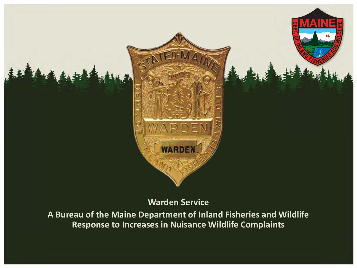

**Warden Service**

**A Bureau of the Maine Department of Inland Fisheries and Wildlife Response to Increases in Nuisance Wildlife Complaints**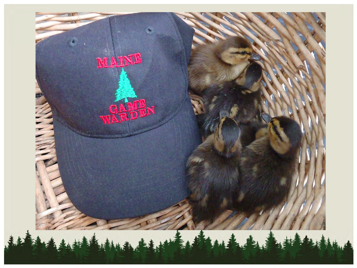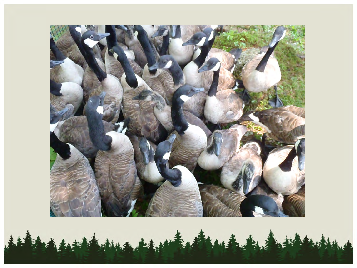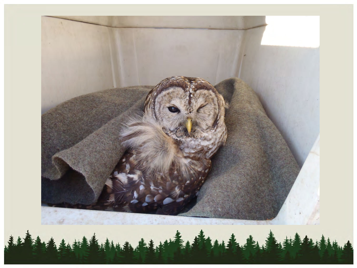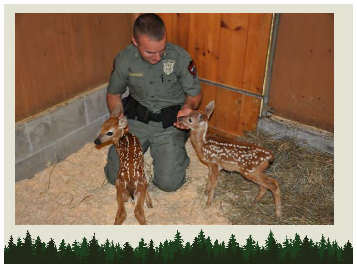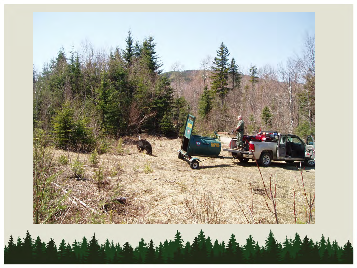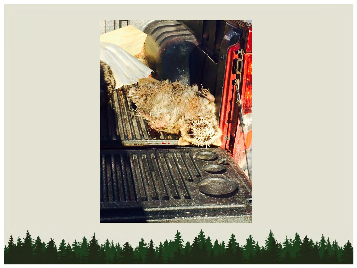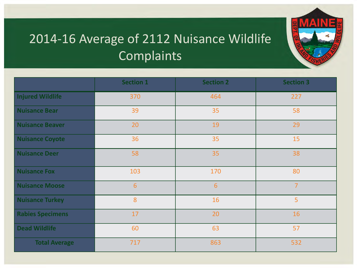## 2014-16 Average of 2112 Nuisance Wildlife **Complaints**

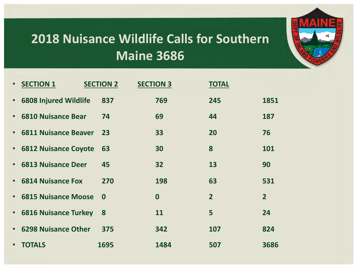## **2018 Nuisance Wildlife Calls for Southern Maine 3686**



|           | <b>SECTION 1</b>             | <b>SECTION 2</b> | <b>SECTION 3</b> | <b>TOTAL</b>   |                |
|-----------|------------------------------|------------------|------------------|----------------|----------------|
|           | <b>6808 Injured Wildlife</b> | 837              | 769              | 245            | 1851           |
|           | • 6810 Nuisance Bear         | 74               | 69               | 44             | 187            |
|           | <b>6811 Nuisance Beaver</b>  | 23               | 33               | 20             | 76             |
|           | • 6812 Nuisance Coyote       | 63               | 30               | 8              | 101            |
|           | • 6813 Nuisance Deer         | 45               | 32               | 13             | 90             |
| $\bullet$ | <b>6814 Nuisance Fox</b>     | 270              | 198              | 63             | 531            |
| $\bullet$ | <b>6815 Nuisance Moose</b>   | $\mathbf 0$      | $\boldsymbol{0}$ | $\overline{2}$ | $\overline{2}$ |
|           | • 6816 Nuisance Turkey       | 8                | 11               | 5              | 24             |
| $\bullet$ | <b>6298 Nuisance Other</b>   | 375              | 342              | 107            | 824            |
|           | <b>TOTALS</b>                | 1695             | 1484             | 507            | 3686           |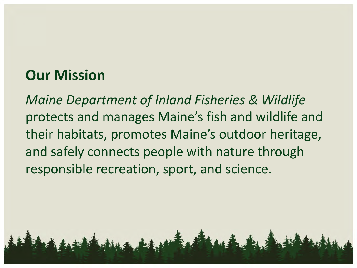## **Our Mission**

*Maine Department of Inland Fisheries & Wildlife*  protects and manages Maine's fish and wildlife and their habitats, promotes Maine's outdoor heritage, and safely connects people with nature through responsible recreation, sport, and science.